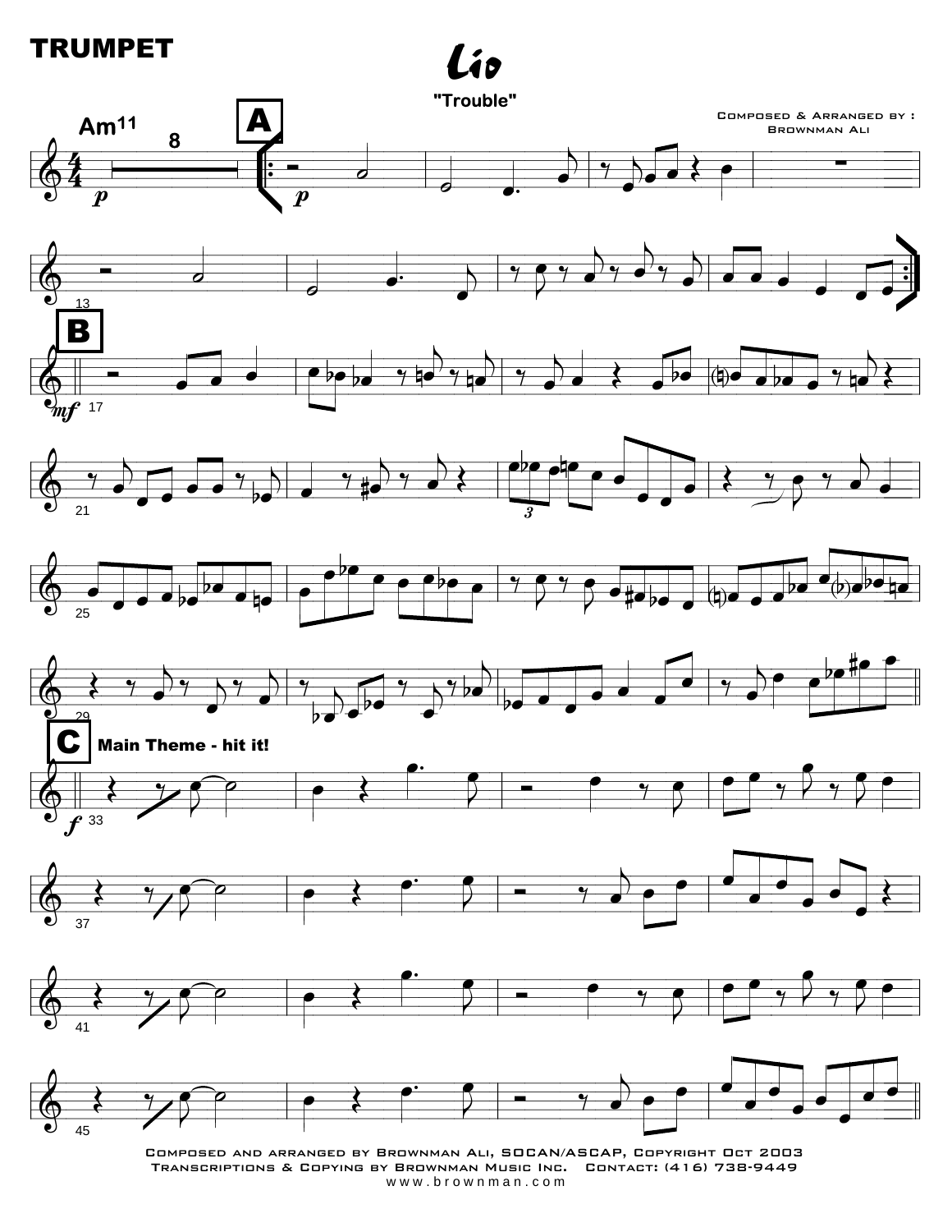## **TRUMPET**



COMPOSED AND ARRANGED BY BROWNMAN ALI, SOCAN/ASCAP, COPYRIGHT OCT 2003 TRANSCRIPTIONS & COPYING BY BROWNMAN MUSIC INC. CONTACT: (416) 738-9449 www.brownman.com